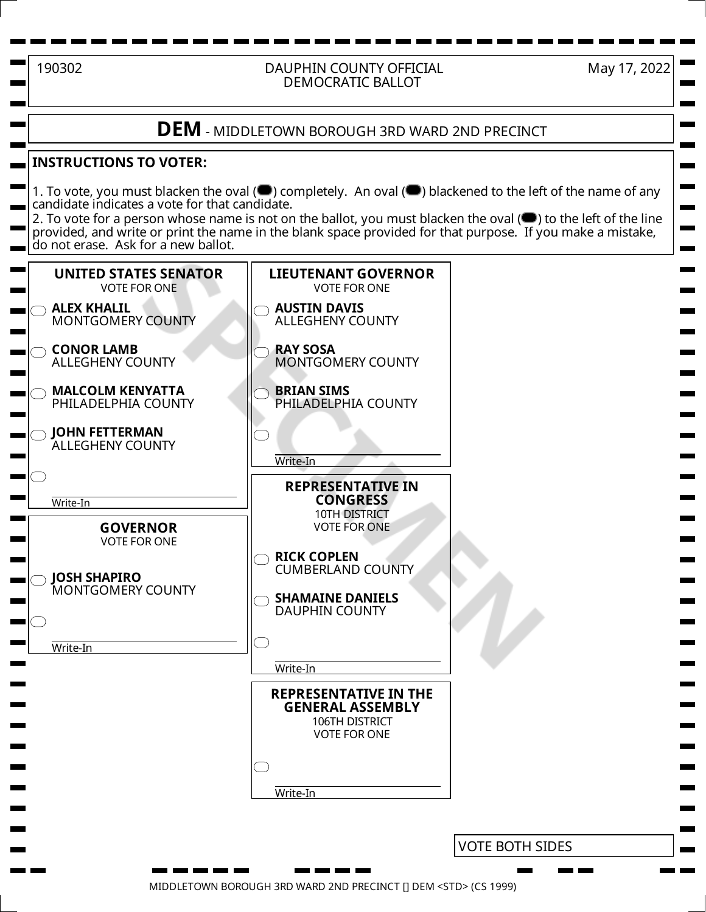## 190302 DAUPHIN COUNTY OFFICIAL DEMOCRATIC BALLOT

## **DEM** - MIDDLETOWN BOROUGH 3RD WARD 2ND PRECINCT

## **INSTRUCTIONS TO VOTER:**

1. To vote, you must blacken the oval ( $\blacksquare$ ) completely. An oval ( $\blacksquare$ ) blackened to the left of the name of any candidate indicates a vote for that candidate.

2. To vote for a person whose name is not on the ballot, you must blacken the oval  $($   $\bullet)$  to the left of the line provided, and write or print the name in the blank space provided for that purpose. If you make a mistake, do not erase. Ask for a new ballot.



VOTE BOTH SIDES